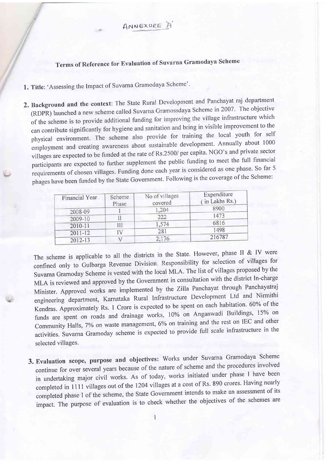ANNEXURE A

Terms of Reference for Evaluation of Suvarna Gramodaya Scheme

1. Title: 'Assessing the Impact of Suvarna Gramodaya Scheme''

2. Background and the context: The State Rural Development and Panchayat raj department (RDPR) launched a new scheme called Suvarna Gramossdaya Scheme in 2007. The objective of the scheme is to provide additional funding for improving the village infrastructure which can contribute significantly for hygiene and sanitation and bring in visible improvement to the physical environment. The scheme also provide for training the local youth for self employment and creating awareness about sustainable development. Annually about 1000 villages are expected to be funded at the rate of Rs.2500/ per capita. NGO's and private sector participants are expected to further supplement the public funding to meet the full financial requirements of chosen villages. Funding done each year is considered as one phase. So far 5 phages have been funded by the State Govemment. Following is the coverage of the Scheme:

| Financial Year | Scheme<br>Phase | No of villages<br>covered | Expenditure<br>(in Lakhs Rs.) |
|----------------|-----------------|---------------------------|-------------------------------|
| 2008-09        |                 | 1,204                     | 8900                          |
| 2009-10        |                 | 222                       | 1473                          |
| $2010 - 11$    |                 | 1,574                     | 6816                          |
| $2011 - 12$    |                 | 281                       | 1498                          |
| 2012-13        |                 | 2,176                     | 216787                        |

The scheme is applicable to all the districts in the State. However, phase II & IV were confined only to Gulbarga Revenue Division. Responsibility for selection of villages for Suvarna Gramoday Scheme is vested with the local MLA. The list of villages proposed by the MLA is reviewed and approved by the Government in consultation with the district In-charge Minister. Approved works are implemented by the Zilla Panchayat through Panchayatraj engineering department, Karnataka Rural Infrastructure Development Ltd and Nirmithi Kendras. Approximately Rs. 1 Crore is expected to be spent on each habitation. 60% of the funds are spent on roads and drainage works, 10% on Anganwadi Buildings, 15% on Community Halls, 7% on waste management, 6% on training and the rest on IEC and other activities. suvarna Gramoday scheme is expected to provide full scale infrastructure in the selected villages.

3. Evaluation scope, purpose and objectives: works under Suvarna Gramodaya Scheme continue for over several years because of the nature of scheme and the procedures involved in undertaking major civil works. As of today, works initiated under phase I have been completed in 1111 villages out of the 1204 villages at a cost of Rs. 890 crores. Having nearly completed phase I of the scheme, the State Government intends to make an assessment of its impact. The purpose of evaluation is to check whether the objectives of the schemes are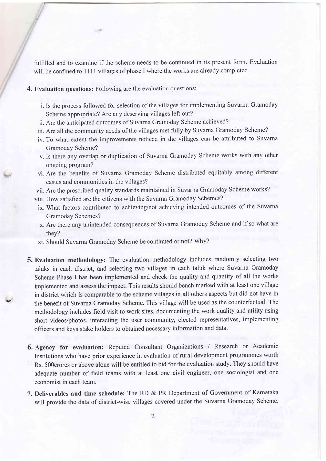fulfilled and to examine if the scheme needs to be continued in its present form. Evaluation will be confined to 1111 villages of phase I where the works are already completed.

## 4. Evaluation questions: Following are the evaluation questions:

- i. Is the process followed for selection of the villages for implementing Suvarna Gramoday Scheme appropriate? Are any deserving villages left out?
- ii. Are the anticipated outcomes of Suvarna Gramoday Scheme achieved?
- iii. Are all the community needs of the villages met fully by Suvama Gramoday Scheme?
- iv. To what extent the improvements noticed in the villages can be attributed to Suvarna Gramoday Scheme?
- v. Is there any overlap or duplication of Suvarna Gramoday Scheme works with any other ongoing program?
- vi. Are the benefits of Suvarna Gramoday Scheme distributed equitably among different castes and communities in the villages?
- vii. Are the prescribed quality standards maintained in Suvarna Gramoday Scheme works?
- viii. How satisfied are the citizens with the Suvarna Gramoday Schemes?
- ix. What factors contributed to achieving/not achieving intended outcomes of the Suvarna Gramoday Schemes?
- x. Are there any unintended consequences of Suvarna Gramoday Scheme and if so what are they?
- xi. Should Suvarna Gramoday Scheme be continued or not? Why?

v.

- 5. Evaluation methodology: The evaluation methodology includes randomly selecting two taluks in each district, and selecting two villages in each taluk where Suvarna Gramoday Scheme Phase I has been implemented and check the quality and quantity of all the works implemented and assess the impact. This results should bench marked with at least one village in district which is comparable to the scheme villages in all others aspects but did not have in the benefit of Suvarna Gramoday Scheme. This village will be used as the counterfactual. The methodology includes field visit to work sites, documenting the work quality and utility using short videos/photos, interacting the user community, elected representatives, implementing officers and keys stake holders to obtained necessary information and data.
- 6. Agency for evaluation: Reputed Consultant Organizations / Research or Academic Institutions who have prior experience in evaluation of rural development programmes worth Rs. 5OOcrores or above alone will be entitled to bid for the evaluation study. They should have adequate number of field teams with at least one civil engineer, ons sociologist and one economist in each team.
- 7. Deliverables and time schedule: The RD & PR Department of Govemment of Karnataka will provide the data of district-wise villages covered under the Suvarna Gramoday Scheme.